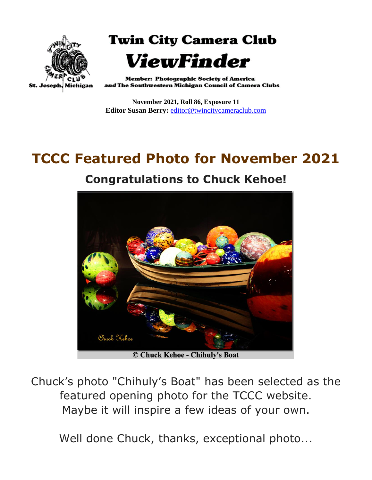

**Twin City Camera Club** ViewFinder

**Member: Photographic Society of America** and The Southwestern Michigan Council of Camera Clubs

**November 2021, Roll 86, Exposure 11 Editor Susan Berry:** [editor@twincitycameraclub.com](mailto:editor@twincitycameraclub.com)

# **TCCC Featured Photo for November 2021**

#### **Congratulations to Chuck Kehoe!**



© Chuck Kehoe - Chihuly's Boat

Chuck's photo "Chihuly's Boat" has been selected as the featured opening photo for the TCCC website. Maybe it will inspire a few ideas of your own.

Well done Chuck, thanks, exceptional photo...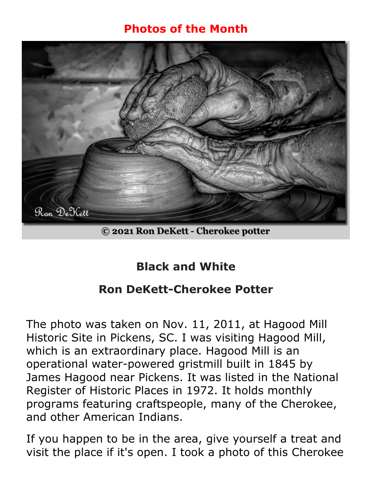#### **Photos of the Month**



© 2021 Ron DeKett - Cherokee potter

# **Black and White**

### **Ron DeKett-Cherokee Potter**

The photo was taken on Nov. 11, 2011, at Hagood Mill Historic Site in Pickens, SC. I was visiting Hagood Mill, which is an extraordinary place. Hagood Mill is an operational water-powered gristmill built in 1845 by James Hagood near Pickens. It was listed in the National Register of Historic Places in 1972. It holds monthly programs featuring craftspeople, many of the Cherokee, and other American Indians.

If you happen to be in the area, give yourself a treat and visit the place if it's open. I took a photo of this Cherokee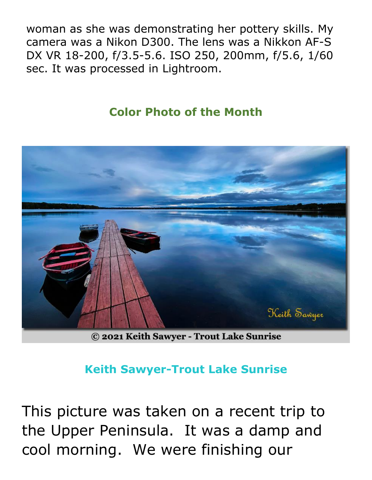woman as she was demonstrating her pottery skills. My camera was a Nikon D300. The lens was a Nikkon AF-S DX VR 18-200, f/3.5-5.6. ISO 250, 200mm, f/5.6, 1/60 sec. It was processed in Lightroom.

#### **Color Photo of the Month**



© 2021 Keith Sawyer - Trout Lake Sunrise

#### **Keith Sawyer-Trout Lake Sunrise**

This picture was taken on a recent trip to the Upper Peninsula. It was a damp and cool morning. We were finishing our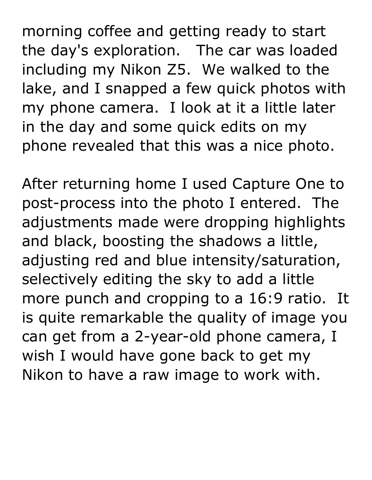morning coffee and getting ready to start the day's exploration. The car was loaded including my Nikon Z5. We walked to the lake, and I snapped a few quick photos with my phone camera. I look at it a little later in the day and some quick edits on my phone revealed that this was a nice photo.

After returning home I used Capture One to post-process into the photo I entered. The adjustments made were dropping highlights and black, boosting the shadows a little, adjusting red and blue intensity/saturation, selectively editing the sky to add a little more punch and cropping to a 16:9 ratio. It is quite remarkable the quality of image you can get from a 2-year-old phone camera, I wish I would have gone back to get my Nikon to have a raw image to work with.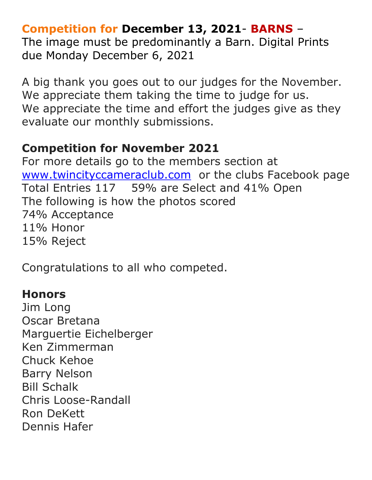#### **Competition for December 13, 2021**- **BARNS** –

The image must be predominantly a Barn. Digital Prints due Monday December 6, 2021

A big thank you goes out to our judges for the November. We appreciate them taking the time to judge for us. We appreciate the time and effort the judges give as they evaluate our monthly submissions.

## **Competition for November 2021**

For more details go to the members section at [www.twincityccameraclub.com](http://www.twincityccameraclub.com/) or the clubs Facebook page Total Entries 117 59% are Select and 41% Open The following is how the photos scored 74% Acceptance 11% Honor 15% Reject

Congratulations to all who competed.

#### **Honors**

Jim Long Oscar Bretana Marguertie Eichelberger Ken Zimmerman Chuck Kehoe Barry Nelson Bill Schalk Chris Loose-Randall Ron DeKett Dennis Hafer